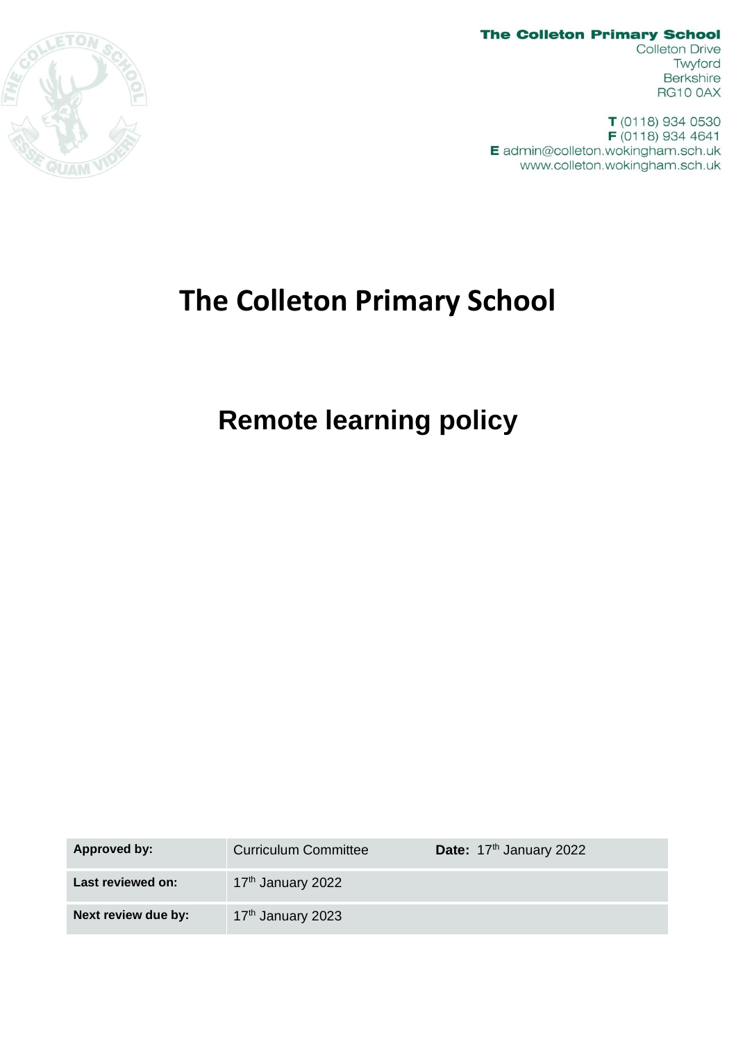

**The Colleton Primary School** 

**Colleton Drive** Twyford Berkshire **RG10 0AX** 

T (0118) 934 0530 F (0118) 934 4641 E admin@colleton.wokingham.sch.uk www.colleton.wokingham.sch.uk

# **The Colleton Primary School**

# **Remote learning policy**

| <b>Approved by:</b> | <b>Curriculum Committee</b>   | Date: 17th January 2022 |
|---------------------|-------------------------------|-------------------------|
| Last reviewed on:   | 17 <sup>th</sup> January 2022 |                         |
| Next review due by: | 17 <sup>th</sup> January 2023 |                         |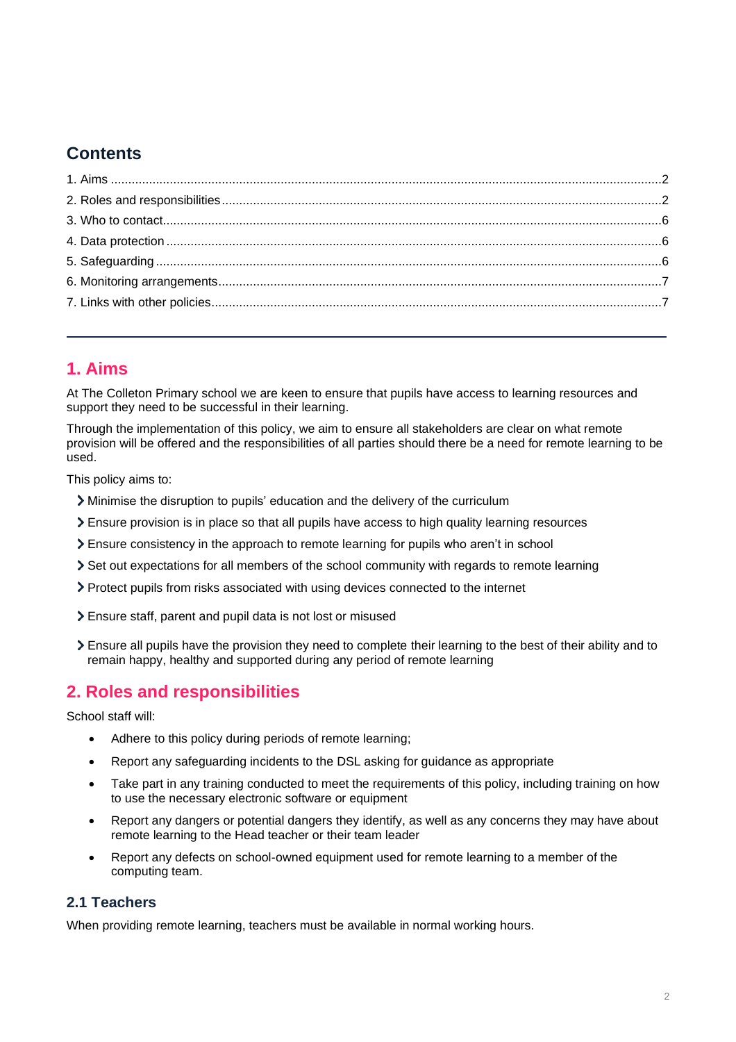## **Contents**

## <span id="page-1-0"></span>**1. Aims**

At The Colleton Primary school we are keen to ensure that pupils have access to learning resources and support they need to be successful in their learning.

Through the implementation of this policy, we aim to ensure all stakeholders are clear on what remote provision will be offered and the responsibilities of all parties should there be a need for remote learning to be used.

This policy aims to:

- Minimise the disruption to pupils' education and the delivery of the curriculum
- Ensure provision is in place so that all pupils have access to high quality learning resources
- Ensure consistency in the approach to remote learning for pupils who aren't in school
- Set out expectations for all members of the school community with regards to remote learning
- Protect pupils from risks associated with using devices connected to the internet
- Ensure staff, parent and pupil data is not lost or misused
- Ensure all pupils have the provision they need to complete their learning to the best of their ability and to remain happy, healthy and supported during any period of remote learning

## <span id="page-1-1"></span>**2. Roles and responsibilities**

School staff will:

- Adhere to this policy during periods of remote learning;
- Report any safeguarding incidents to the DSL asking for guidance as appropriate
- Take part in any training conducted to meet the requirements of this policy, including training on how to use the necessary electronic software or equipment
- Report any dangers or potential dangers they identify, as well as any concerns they may have about remote learning to the Head teacher or their team leader
- Report any defects on school-owned equipment used for remote learning to a member of the computing team.

### **2.1 Teachers**

When providing remote learning, teachers must be available in normal working hours.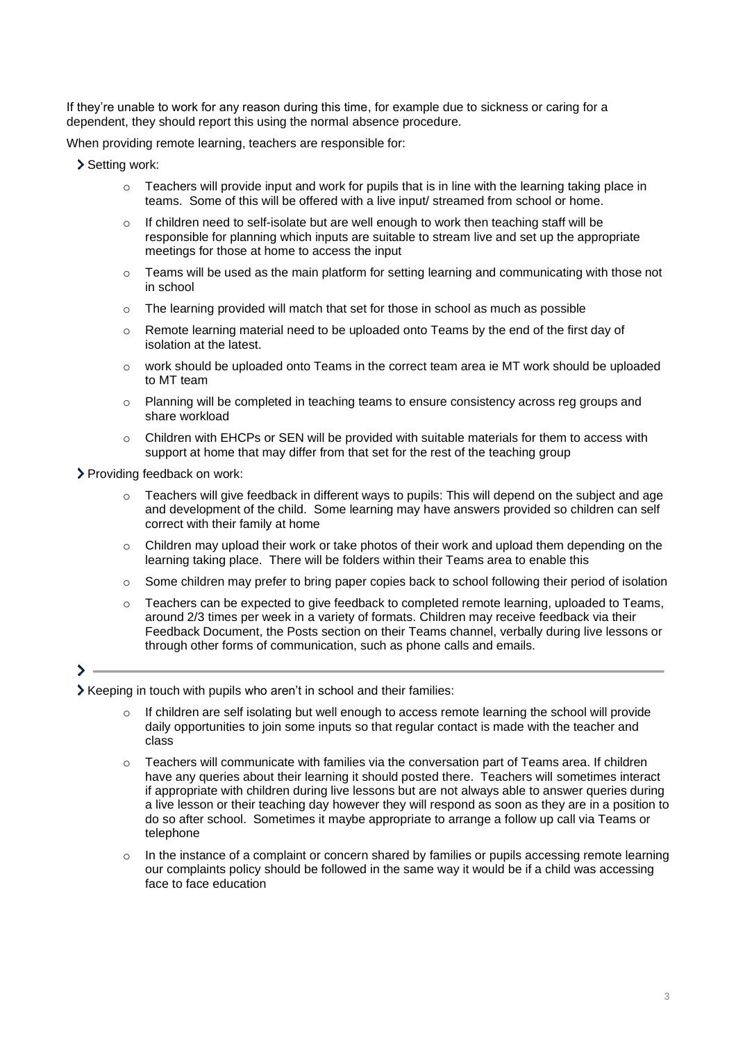If they're unable to work for any reason during this time, for example due to sickness or caring for a dependent, they should report this using the normal absence procedure.

When providing remote learning, teachers are responsible for:

- > Setting work:
	- $\circ$  Teachers will provide input and work for pupils that is in line with the learning taking place in teams. Some of this will be offered with a live input/ streamed from school or home.
	- $\circ$  If children need to self-isolate but are well enough to work then teaching staff will be responsible for planning which inputs are suitable to stream live and set up the appropriate meetings for those at home to access the input
	- $\circ$  Teams will be used as the main platform for setting learning and communicating with those not in school
	- $\circ$  The learning provided will match that set for those in school as much as possible
	- $\circ$  Remote learning material need to be uploaded onto Teams by the end of the first day of isolation at the latest.
	- $\circ$  work should be uploaded onto Teams in the correct team area ie MT work should be uploaded to MT team
	- o Planning will be completed in teaching teams to ensure consistency across reg groups and share workload
	- $\circ$  Children with EHCPs or SEN will be provided with suitable materials for them to access with support at home that may differ from that set for the rest of the teaching group
- > Providing feedback on work:

 $\blacktriangleright$ 

- $\circ$  Teachers will give feedback in different ways to pupils: This will depend on the subject and age and development of the child. Some learning may have answers provided so children can self correct with their family at home
- $\circ$  Children may upload their work or take photos of their work and upload them depending on the learning taking place. There will be folders within their Teams area to enable this
- $\circ$  Some children may prefer to bring paper copies back to school following their period of isolation
- $\circ$  Teachers can be expected to give feedback to completed remote learning, uploaded to Teams, around 2/3 times per week in a variety of formats. Children may receive feedback via their Feedback Document, the Posts section on their Teams channel, verbally during live lessons or through other forms of communication, such as phone calls and emails.

Xeeping in touch with pupils who aren't in school and their families:

- If children are self isolating but well enough to access remote learning the school will provide daily opportunities to join some inputs so that regular contact is made with the teacher and class
- $\circ$  Teachers will communicate with families via the conversation part of Teams area. If children have any queries about their learning it should posted there. Teachers will sometimes interact if appropriate with children during live lessons but are not always able to answer queries during a live lesson or their teaching day however they will respond as soon as they are in a position to do so after school. Sometimes it maybe appropriate to arrange a follow up call via Teams or telephone
- o In the instance of a complaint or concern shared by families or pupils accessing remote learning our complaints policy should be followed in the same way it would be if a child was accessing face to face education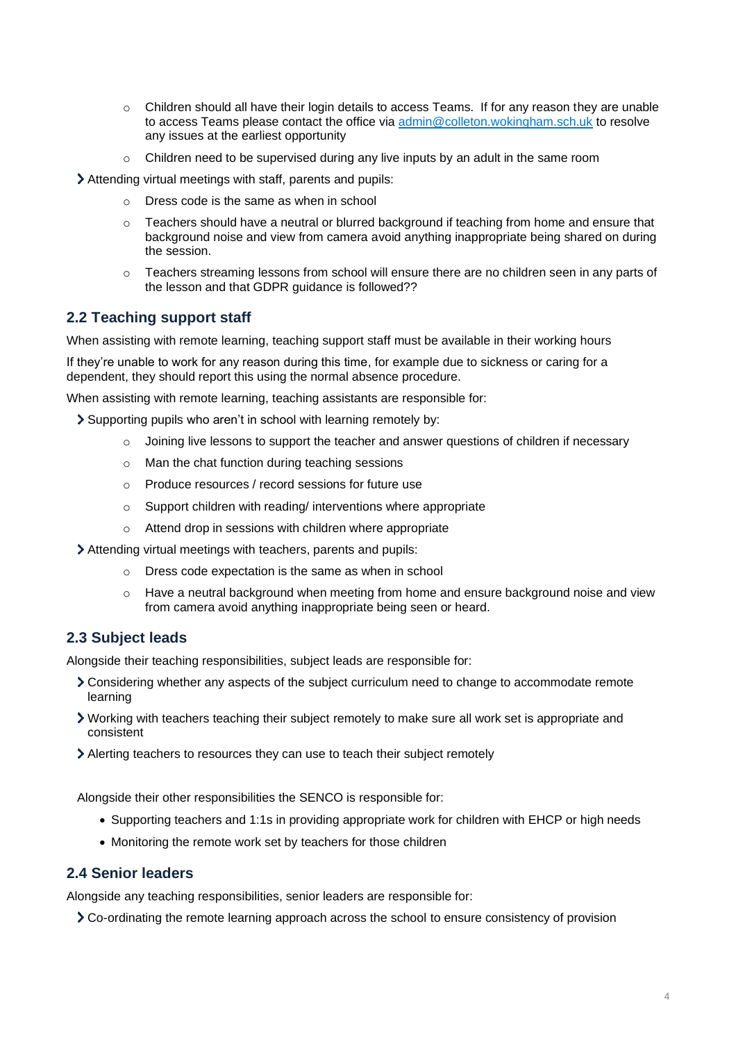- $\circ$  Children should all have their login details to access Teams. If for any reason they are unable to access Teams please contact the office via [admin@colleton.wokingham.sch.uk](mailto:admin@colleton.wokingham.sch.uk) to resolve any issues at the earliest opportunity
- $\circ$  Children need to be supervised during any live inputs by an adult in the same room

Attending virtual meetings with staff, parents and pupils:

- Dress code is the same as when in school
- $\circ$  Teachers should have a neutral or blurred background if teaching from home and ensure that background noise and view from camera avoid anything inappropriate being shared on during the session.
- $\circ$  Teachers streaming lessons from school will ensure there are no children seen in any parts of the lesson and that GDPR guidance is followed??

#### **2.2 Teaching support staff**

When assisting with remote learning, teaching support staff must be available in their working hours

If they're unable to work for any reason during this time, for example due to sickness or caring for a dependent, they should report this using the normal absence procedure.

When assisting with remote learning, teaching assistants are responsible for:

- Supporting pupils who aren't in school with learning remotely by:
	- $\circ$  Joining live lessons to support the teacher and answer questions of children if necessary
	- o Man the chat function during teaching sessions
	- o Produce resources / record sessions for future use
	- o Support children with reading/ interventions where appropriate
	- o Attend drop in sessions with children where appropriate
- Attending virtual meetings with teachers, parents and pupils:
	- o Dress code expectation is the same as when in school
	- $\circ$  Have a neutral background when meeting from home and ensure background noise and view from camera avoid anything inappropriate being seen or heard.

#### **2.3 Subject leads**

Alongside their teaching responsibilities, subject leads are responsible for:

- Considering whether any aspects of the subject curriculum need to change to accommodate remote learning
- Working with teachers teaching their subject remotely to make sure all work set is appropriate and consistent
- Alerting teachers to resources they can use to teach their subject remotely

Alongside their other responsibilities the SENCO is responsible for:

- Supporting teachers and 1:1s in providing appropriate work for children with EHCP or high needs
- Monitoring the remote work set by teachers for those children

#### **2.4 Senior leaders**

Alongside any teaching responsibilities, senior leaders are responsible for:

Co-ordinating the remote learning approach across the school to ensure consistency of provision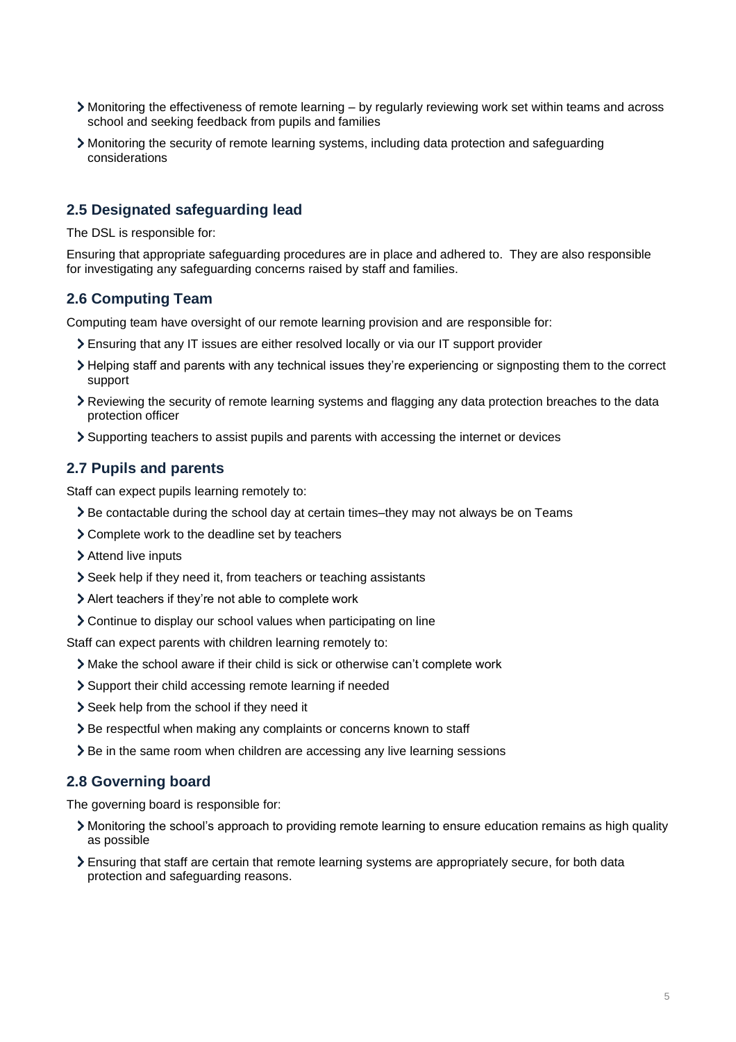- Monitoring the effectiveness of remote learning by regularly reviewing work set within teams and across school and seeking feedback from pupils and families
- Monitoring the security of remote learning systems, including data protection and safeguarding considerations

#### **2.5 Designated safeguarding lead**

The DSL is responsible for:

Ensuring that appropriate safeguarding procedures are in place and adhered to. They are also responsible for investigating any safeguarding concerns raised by staff and families.

#### **2.6 Computing Team**

Computing team have oversight of our remote learning provision and are responsible for:

- Ensuring that any IT issues are either resolved locally or via our IT support provider
- Helping staff and parents with any technical issues they're experiencing or signposting them to the correct support
- Reviewing the security of remote learning systems and flagging any data protection breaches to the data protection officer
- Supporting teachers to assist pupils and parents with accessing the internet or devices

#### **2.7 Pupils and parents**

Staff can expect pupils learning remotely to:

- $\geq$  Be contactable during the school day at certain times–they may not always be on Teams
- Complete work to the deadline set by teachers
- > Attend live inputs
- Seek help if they need it, from teachers or teaching assistants
- Alert teachers if they're not able to complete work
- Continue to display our school values when participating on line

Staff can expect parents with children learning remotely to:

- Make the school aware if their child is sick or otherwise can't complete work
- Support their child accessing remote learning if needed
- Seek help from the school if they need it
- > Be respectful when making any complaints or concerns known to staff
- > Be in the same room when children are accessing any live learning sessions

#### **2.8 Governing board**

The governing board is responsible for:

- Monitoring the school's approach to providing remote learning to ensure education remains as high quality as possible
- Ensuring that staff are certain that remote learning systems are appropriately secure, for both data protection and safeguarding reasons.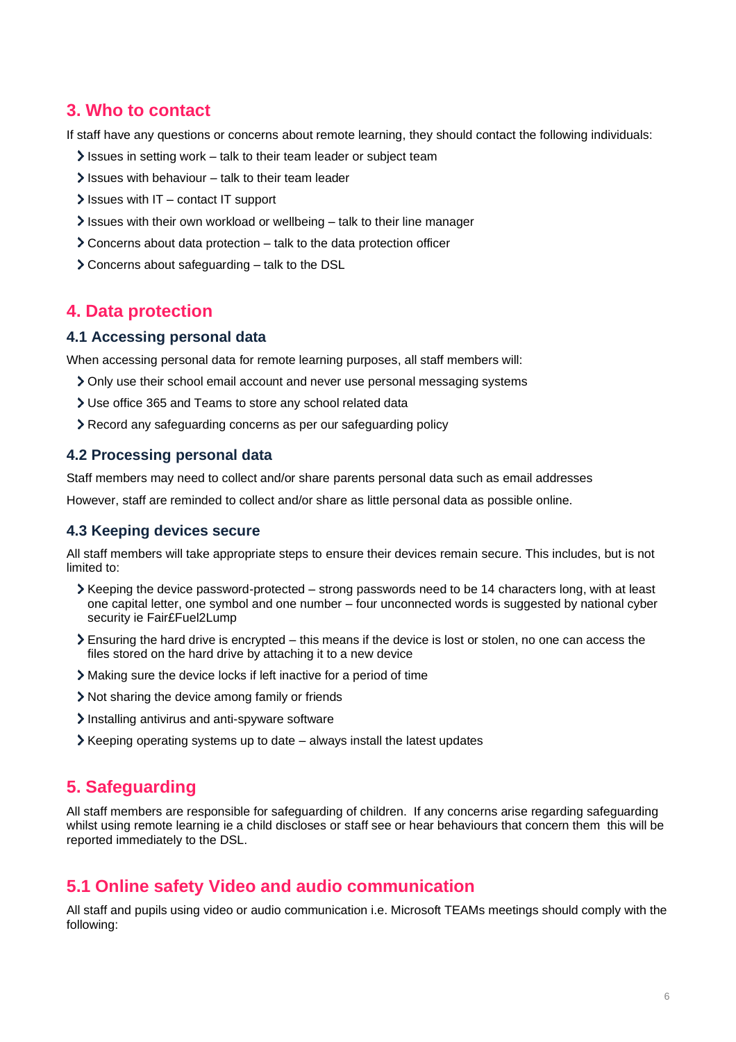## <span id="page-5-0"></span>**3. Who to contact**

If staff have any questions or concerns about remote learning, they should contact the following individuals:

- $\blacktriangleright$  Issues in setting work talk to their team leader or subject team
- $\ge$  Issues with behaviour talk to their team leader
- $\ge$  Issues with IT contact IT support
- Issues with their own workload or wellbeing talk to their line manager
- Concerns about data protection talk to the data protection officer
- Concerns about safeguarding talk to the DSL

## <span id="page-5-1"></span>**4. Data protection**

#### **4.1 Accessing personal data**

When accessing personal data for remote learning purposes, all staff members will:

- Only use their school email account and never use personal messaging systems
- Use office 365 and Teams to store any school related data
- Record any safeguarding concerns as per our safeguarding policy

#### **4.2 Processing personal data**

Staff members may need to collect and/or share parents personal data such as email addresses

However, staff are reminded to collect and/or share as little personal data as possible online.

#### **4.3 Keeping devices secure**

All staff members will take appropriate steps to ensure their devices remain secure. This includes, but is not limited to:

- Keeping the device password-protected strong passwords need to be 14 characters long, with at least one capital letter, one symbol and one number – four unconnected words is suggested by national cyber security ie Fair£Fuel2Lump
- Ensuring the hard drive is encrypted this means if the device is lost or stolen, no one can access the files stored on the hard drive by attaching it to a new device
- Making sure the device locks if left inactive for a period of time
- Not sharing the device among family or friends
- Installing antivirus and anti-spyware software
- Keeping operating systems up to date always install the latest updates

## <span id="page-5-2"></span>**5. Safeguarding**

All staff members are responsible for safeguarding of children. If any concerns arise regarding safeguarding whilst using remote learning ie a child discloses or staff see or hear behaviours that concern them this will be reported immediately to the DSL.

## **5.1 Online safety Video and audio communication**

All staff and pupils using video or audio communication i.e. Microsoft TEAMs meetings should comply with the following: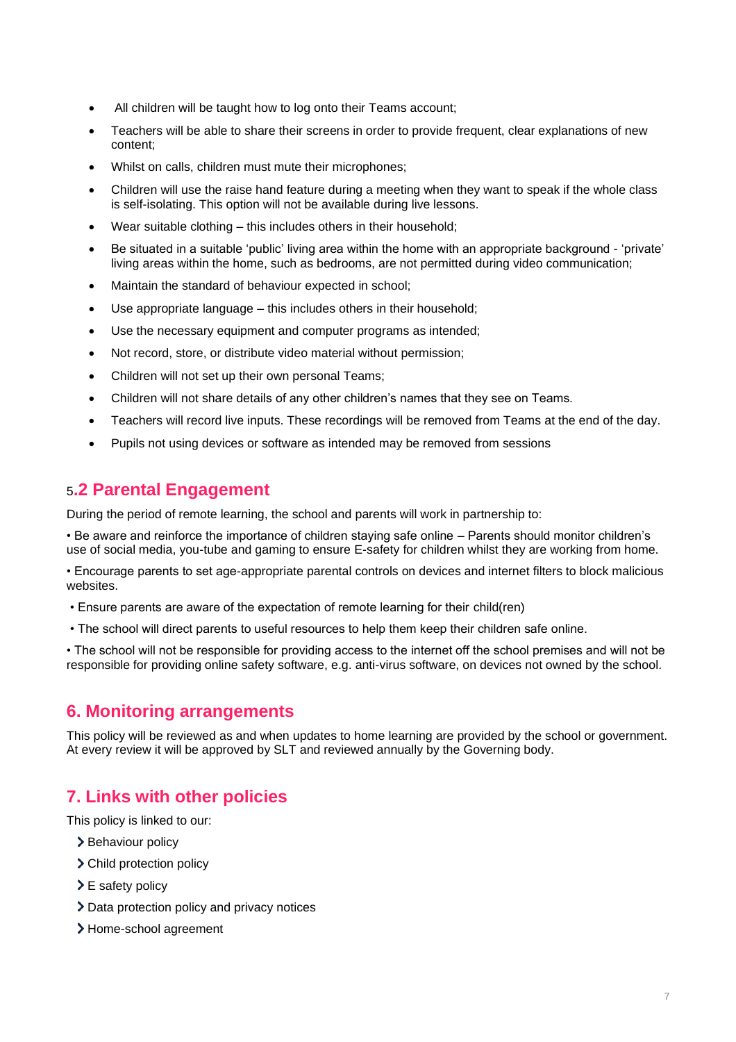- All children will be taught how to log onto their Teams account;
- Teachers will be able to share their screens in order to provide frequent, clear explanations of new content;
- Whilst on calls, children must mute their microphones;
- Children will use the raise hand feature during a meeting when they want to speak if the whole class is self-isolating. This option will not be available during live lessons.
- Wear suitable clothing this includes others in their household;
- Be situated in a suitable 'public' living area within the home with an appropriate background 'private' living areas within the home, such as bedrooms, are not permitted during video communication;
- Maintain the standard of behaviour expected in school;
- Use appropriate language this includes others in their household;
- Use the necessary equipment and computer programs as intended;
- Not record, store, or distribute video material without permission;
- Children will not set up their own personal Teams;
- Children will not share details of any other children's names that they see on Teams.
- Teachers will record live inputs. These recordings will be removed from Teams at the end of the day.
- Pupils not using devices or software as intended may be removed from sessions

## 5**.2 Parental Engagement**

During the period of remote learning, the school and parents will work in partnership to:

• Be aware and reinforce the importance of children staying safe online – Parents should monitor children's use of social media, you-tube and gaming to ensure E-safety for children whilst they are working from home.

• Encourage parents to set age-appropriate parental controls on devices and internet filters to block malicious websites.

- Ensure parents are aware of the expectation of remote learning for their child(ren)
- The school will direct parents to useful resources to help them keep their children safe online.

• The school will not be responsible for providing access to the internet off the school premises and will not be responsible for providing online safety software, e.g. anti-virus software, on devices not owned by the school.

## <span id="page-6-0"></span>**6. Monitoring arrangements**

This policy will be reviewed as and when updates to home learning are provided by the school or government. At every review it will be approved by SLT and reviewed annually by the Governing body.

## <span id="page-6-1"></span>**7. Links with other policies**

This policy is linked to our:

- > Behaviour policy
- > Child protection policy
- > E safety policy
- > Data protection policy and privacy notices
- > Home-school agreement